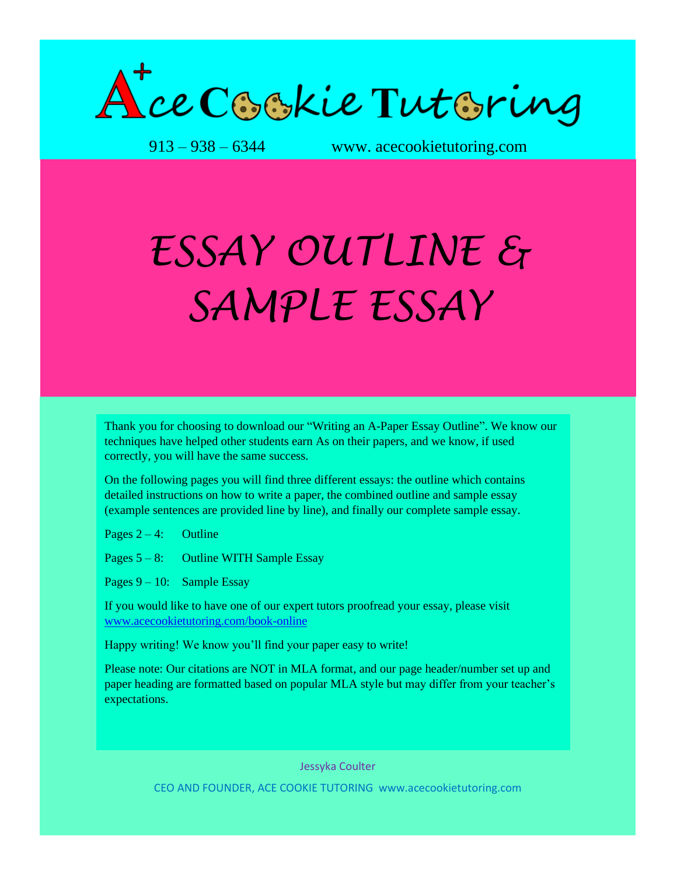

913 – 938 – 6344 www. acecookietutoring.com

## *ESSAY OUTLINE & SAMPLE ESSAY*

Thank you for choosing to download our "Writing an A-Paper Essay Outline". We know our techniques have helped other students earn As on their papers, and we know, if used correctly, you will have the same success.

On the following pages you will find three different essays: the outline which contains detailed instructions on how to write a paper, the combined outline and sample essay (example sentences are provided line by line), and finally our complete sample essay.

Pages  $2 - 4$ : Outline

Pages  $5 - 8$ : Outline WITH Sample Essay

Pages  $9 - 10$ : Sample Essay

If you would like to have one of our expert tutors proofread your essay, please visit [www.acecookietutoring.com/book-online](http://www.acecookietutoring.com/book-online)

Happy writing! We know you'll find your paper easy to write!

Please note: Our citations are NOT in MLA format, and our page header/number set up and paper heading are formatted based on popular MLA style but may differ from your teacher's expectations.

Jessyka Coulter

CEO AND FOUNDER, ACE COOKIE TUTORING www.acecookietutoring.com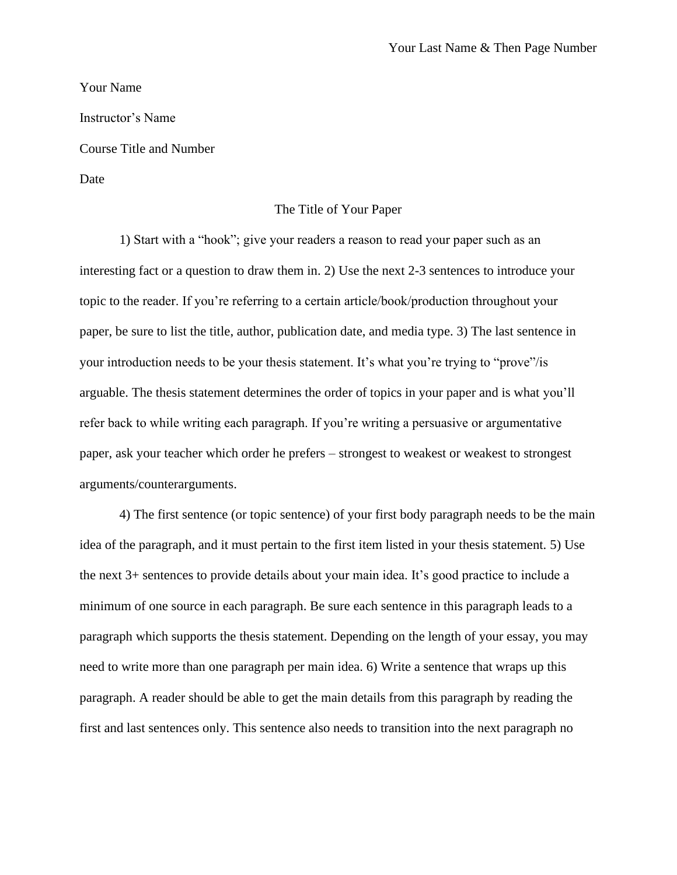Your Name

Instructor's Name

Course Title and Number

Date

## The Title of Your Paper

1) Start with a "hook"; give your readers a reason to read your paper such as an interesting fact or a question to draw them in. 2) Use the next 2-3 sentences to introduce your topic to the reader. If you're referring to a certain article/book/production throughout your paper, be sure to list the title, author, publication date, and media type. 3) The last sentence in your introduction needs to be your thesis statement. It's what you're trying to "prove"/is arguable. The thesis statement determines the order of topics in your paper and is what you'll refer back to while writing each paragraph. If you're writing a persuasive or argumentative paper, ask your teacher which order he prefers – strongest to weakest or weakest to strongest arguments/counterarguments.

4) The first sentence (or topic sentence) of your first body paragraph needs to be the main idea of the paragraph, and it must pertain to the first item listed in your thesis statement. 5) Use the next 3+ sentences to provide details about your main idea. It's good practice to include a minimum of one source in each paragraph. Be sure each sentence in this paragraph leads to a paragraph which supports the thesis statement. Depending on the length of your essay, you may need to write more than one paragraph per main idea. 6) Write a sentence that wraps up this paragraph. A reader should be able to get the main details from this paragraph by reading the first and last sentences only. This sentence also needs to transition into the next paragraph no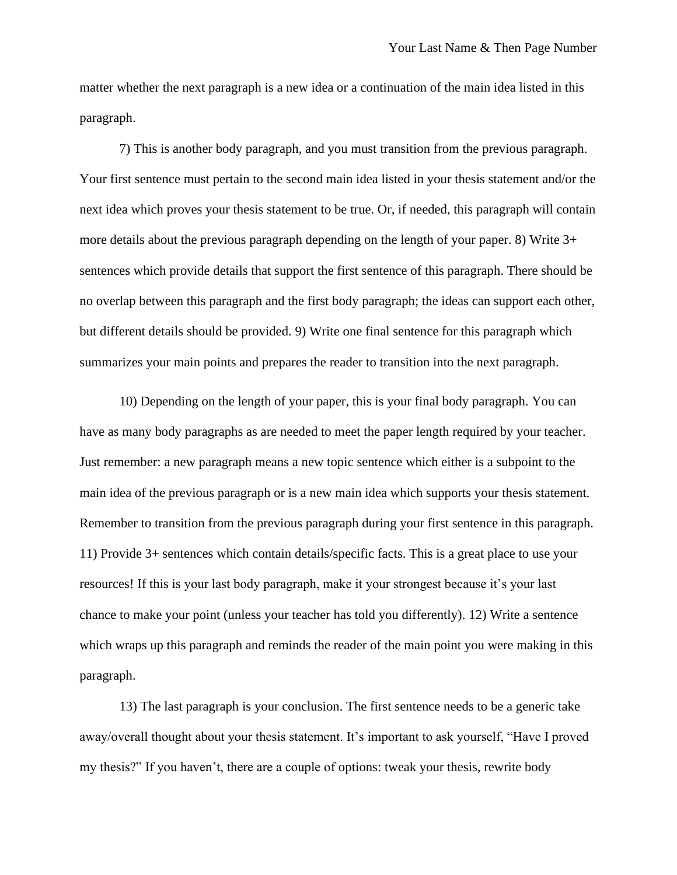matter whether the next paragraph is a new idea or a continuation of the main idea listed in this paragraph.

7) This is another body paragraph, and you must transition from the previous paragraph. Your first sentence must pertain to the second main idea listed in your thesis statement and/or the next idea which proves your thesis statement to be true. Or, if needed, this paragraph will contain more details about the previous paragraph depending on the length of your paper. 8) Write 3+ sentences which provide details that support the first sentence of this paragraph. There should be no overlap between this paragraph and the first body paragraph; the ideas can support each other, but different details should be provided. 9) Write one final sentence for this paragraph which summarizes your main points and prepares the reader to transition into the next paragraph.

10) Depending on the length of your paper, this is your final body paragraph. You can have as many body paragraphs as are needed to meet the paper length required by your teacher. Just remember: a new paragraph means a new topic sentence which either is a subpoint to the main idea of the previous paragraph or is a new main idea which supports your thesis statement. Remember to transition from the previous paragraph during your first sentence in this paragraph. 11) Provide 3+ sentences which contain details/specific facts. This is a great place to use your resources! If this is your last body paragraph, make it your strongest because it's your last chance to make your point (unless your teacher has told you differently). 12) Write a sentence which wraps up this paragraph and reminds the reader of the main point you were making in this paragraph.

13) The last paragraph is your conclusion. The first sentence needs to be a generic take away/overall thought about your thesis statement. It's important to ask yourself, "Have I proved my thesis?" If you haven't, there are a couple of options: tweak your thesis, rewrite body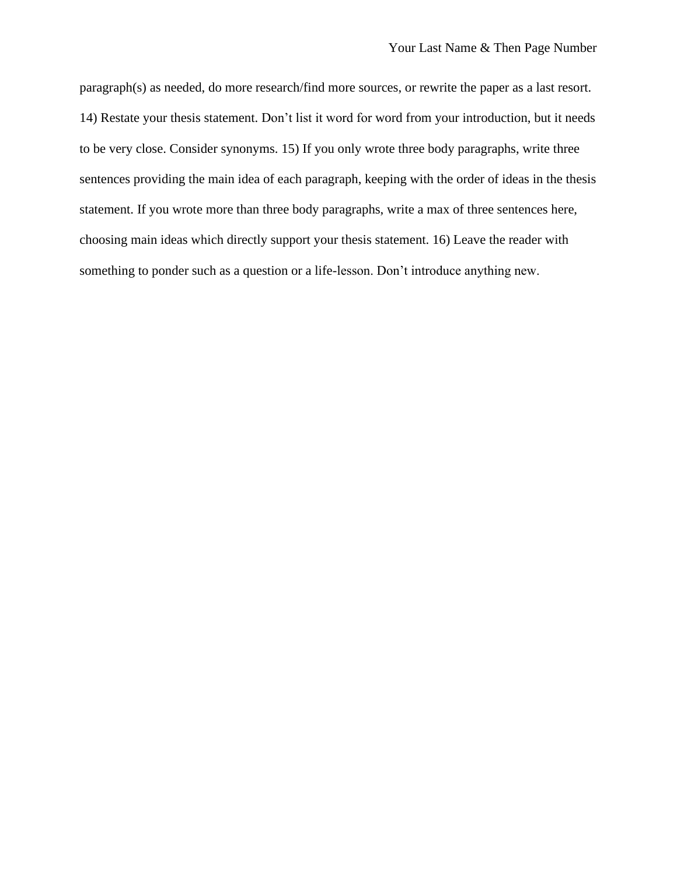paragraph(s) as needed, do more research/find more sources, or rewrite the paper as a last resort. 14) Restate your thesis statement. Don't list it word for word from your introduction, but it needs to be very close. Consider synonyms. 15) If you only wrote three body paragraphs, write three sentences providing the main idea of each paragraph, keeping with the order of ideas in the thesis statement. If you wrote more than three body paragraphs, write a max of three sentences here, choosing main ideas which directly support your thesis statement. 16) Leave the reader with something to ponder such as a question or a life-lesson. Don't introduce anything new.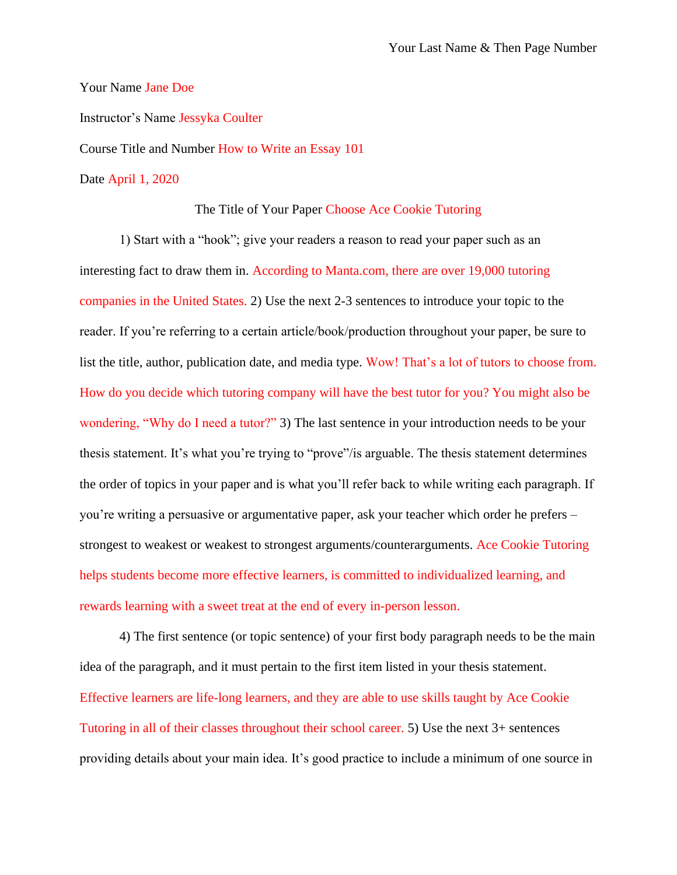Your Name Jane Doe

Instructor's Name Jessyka Coulter

Course Title and Number How to Write an Essay 101

Date April 1, 2020

## The Title of Your Paper Choose Ace Cookie Tutoring

1) Start with a "hook"; give your readers a reason to read your paper such as an interesting fact to draw them in. According to Manta.com, there are over 19,000 tutoring companies in the United States. 2) Use the next 2-3 sentences to introduce your topic to the reader. If you're referring to a certain article/book/production throughout your paper, be sure to list the title, author, publication date, and media type. Wow! That's a lot of tutors to choose from. How do you decide which tutoring company will have the best tutor for you? You might also be wondering, "Why do I need a tutor?" 3) The last sentence in your introduction needs to be your thesis statement. It's what you're trying to "prove"/is arguable. The thesis statement determines the order of topics in your paper and is what you'll refer back to while writing each paragraph. If you're writing a persuasive or argumentative paper, ask your teacher which order he prefers – strongest to weakest or weakest to strongest arguments/counterarguments. Ace Cookie Tutoring helps students become more effective learners, is committed to individualized learning, and rewards learning with a sweet treat at the end of every in-person lesson.

4) The first sentence (or topic sentence) of your first body paragraph needs to be the main idea of the paragraph, and it must pertain to the first item listed in your thesis statement. Effective learners are life-long learners, and they are able to use skills taught by Ace Cookie Tutoring in all of their classes throughout their school career. 5) Use the next 3+ sentences providing details about your main idea. It's good practice to include a minimum of one source in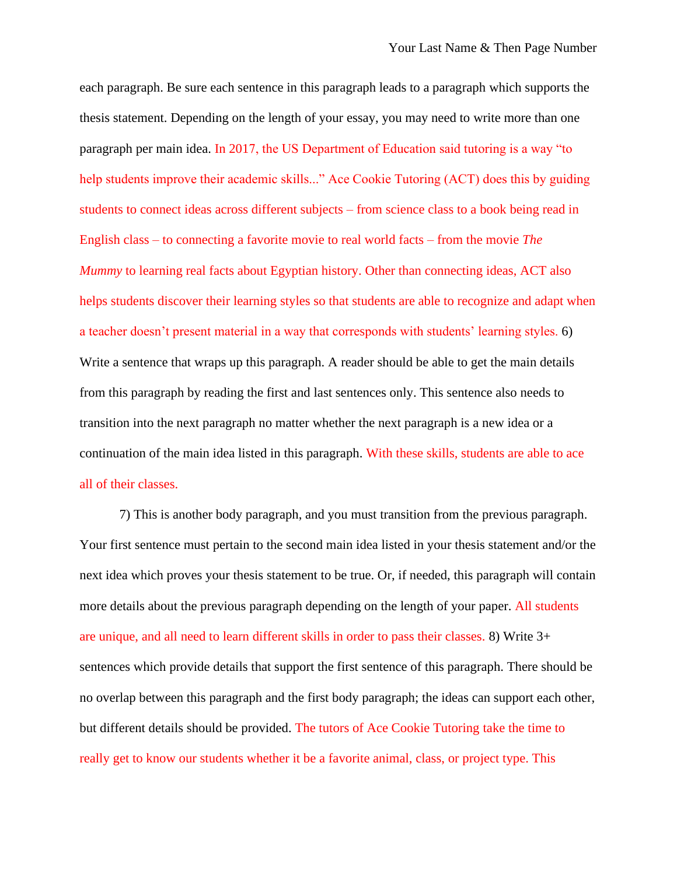each paragraph. Be sure each sentence in this paragraph leads to a paragraph which supports the thesis statement. Depending on the length of your essay, you may need to write more than one paragraph per main idea. In 2017, the US Department of Education said tutoring is a way "to help students improve their academic skills..." Ace Cookie Tutoring (ACT) does this by guiding students to connect ideas across different subjects – from science class to a book being read in English class – to connecting a favorite movie to real world facts – from the movie *The Mummy* to learning real facts about Egyptian history. Other than connecting ideas, ACT also helps students discover their learning styles so that students are able to recognize and adapt when a teacher doesn't present material in a way that corresponds with students' learning styles. 6) Write a sentence that wraps up this paragraph. A reader should be able to get the main details from this paragraph by reading the first and last sentences only. This sentence also needs to transition into the next paragraph no matter whether the next paragraph is a new idea or a continuation of the main idea listed in this paragraph. With these skills, students are able to ace all of their classes.

7) This is another body paragraph, and you must transition from the previous paragraph. Your first sentence must pertain to the second main idea listed in your thesis statement and/or the next idea which proves your thesis statement to be true. Or, if needed, this paragraph will contain more details about the previous paragraph depending on the length of your paper. All students are unique, and all need to learn different skills in order to pass their classes. 8) Write 3+ sentences which provide details that support the first sentence of this paragraph. There should be no overlap between this paragraph and the first body paragraph; the ideas can support each other, but different details should be provided. The tutors of Ace Cookie Tutoring take the time to really get to know our students whether it be a favorite animal, class, or project type. This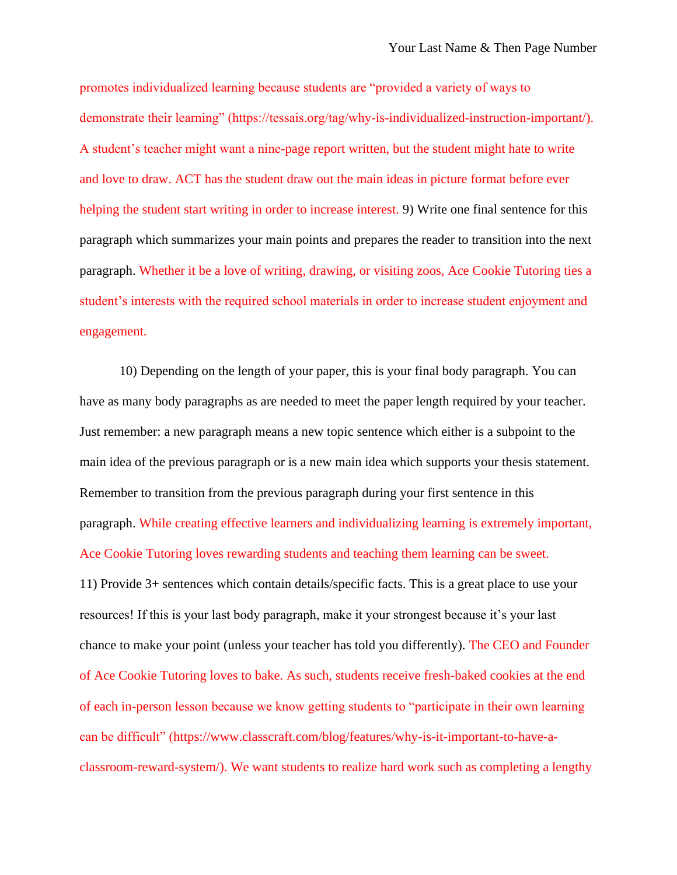promotes individualized learning because students are "provided a variety of ways to demonstrate their learning" (https://tessais.org/tag/why-is-individualized-instruction-important/). A student's teacher might want a nine-page report written, but the student might hate to write and love to draw. ACT has the student draw out the main ideas in picture format before ever helping the student start writing in order to increase interest. 9) Write one final sentence for this paragraph which summarizes your main points and prepares the reader to transition into the next paragraph. Whether it be a love of writing, drawing, or visiting zoos, Ace Cookie Tutoring ties a student's interests with the required school materials in order to increase student enjoyment and engagement.

10) Depending on the length of your paper, this is your final body paragraph. You can have as many body paragraphs as are needed to meet the paper length required by your teacher. Just remember: a new paragraph means a new topic sentence which either is a subpoint to the main idea of the previous paragraph or is a new main idea which supports your thesis statement. Remember to transition from the previous paragraph during your first sentence in this paragraph. While creating effective learners and individualizing learning is extremely important, Ace Cookie Tutoring loves rewarding students and teaching them learning can be sweet. 11) Provide 3+ sentences which contain details/specific facts. This is a great place to use your resources! If this is your last body paragraph, make it your strongest because it's your last chance to make your point (unless your teacher has told you differently). The CEO and Founder

of Ace Cookie Tutoring loves to bake. As such, students receive fresh-baked cookies at the end of each in-person lesson because we know getting students to "participate in their own learning can be difficult" (https://www.classcraft.com/blog/features/why-is-it-important-to-have-aclassroom-reward-system/). We want students to realize hard work such as completing a lengthy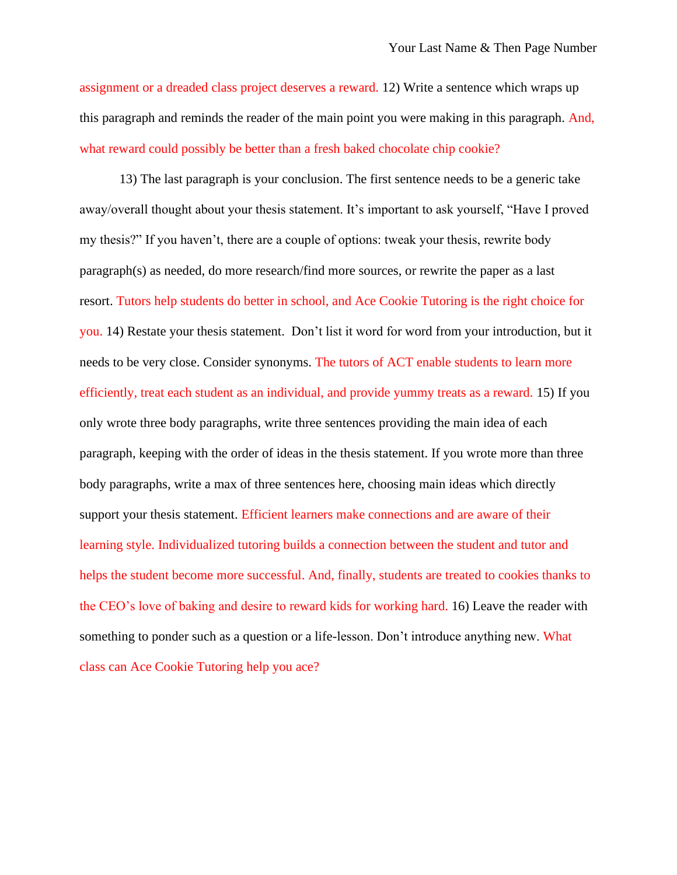assignment or a dreaded class project deserves a reward. 12) Write a sentence which wraps up this paragraph and reminds the reader of the main point you were making in this paragraph. And, what reward could possibly be better than a fresh baked chocolate chip cookie?

13) The last paragraph is your conclusion. The first sentence needs to be a generic take away/overall thought about your thesis statement. It's important to ask yourself, "Have I proved my thesis?" If you haven't, there are a couple of options: tweak your thesis, rewrite body paragraph(s) as needed, do more research/find more sources, or rewrite the paper as a last resort. Tutors help students do better in school, and Ace Cookie Tutoring is the right choice for you. 14) Restate your thesis statement. Don't list it word for word from your introduction, but it needs to be very close. Consider synonyms. The tutors of ACT enable students to learn more efficiently, treat each student as an individual, and provide yummy treats as a reward. 15) If you only wrote three body paragraphs, write three sentences providing the main idea of each paragraph, keeping with the order of ideas in the thesis statement. If you wrote more than three body paragraphs, write a max of three sentences here, choosing main ideas which directly support your thesis statement. Efficient learners make connections and are aware of their learning style. Individualized tutoring builds a connection between the student and tutor and helps the student become more successful. And, finally, students are treated to cookies thanks to the CEO's love of baking and desire to reward kids for working hard. 16) Leave the reader with something to ponder such as a question or a life-lesson. Don't introduce anything new. What class can Ace Cookie Tutoring help you ace?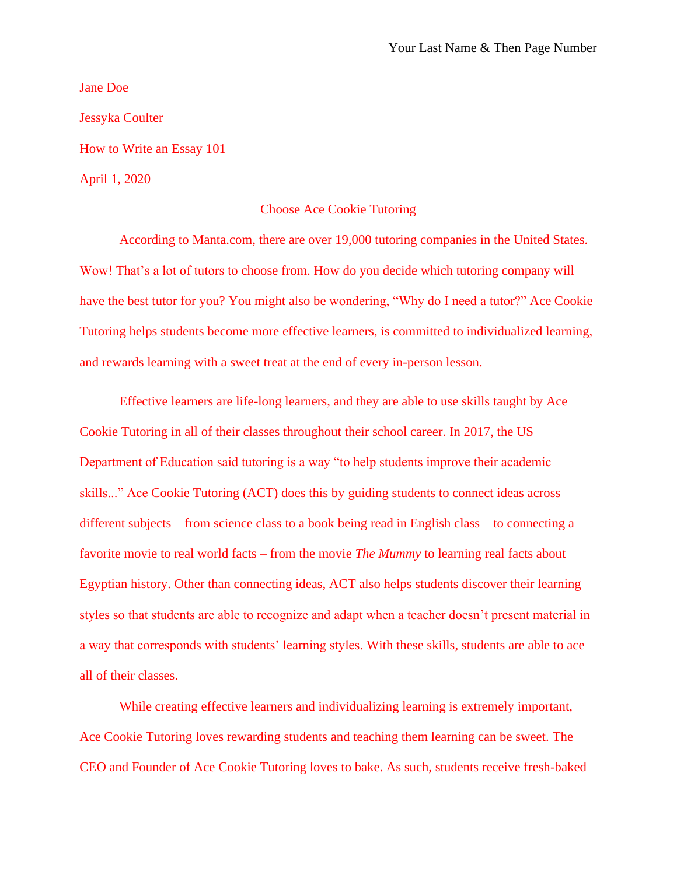Jane Doe Jessyka Coulter How to Write an Essay 101 April 1, 2020

## Choose Ace Cookie Tutoring

According to Manta.com, there are over 19,000 tutoring companies in the United States. Wow! That's a lot of tutors to choose from. How do you decide which tutoring company will have the best tutor for you? You might also be wondering, "Why do I need a tutor?" Ace Cookie Tutoring helps students become more effective learners, is committed to individualized learning, and rewards learning with a sweet treat at the end of every in-person lesson.

Effective learners are life-long learners, and they are able to use skills taught by Ace Cookie Tutoring in all of their classes throughout their school career. In 2017, the US Department of Education said tutoring is a way "to help students improve their academic skills..." Ace Cookie Tutoring (ACT) does this by guiding students to connect ideas across different subjects – from science class to a book being read in English class – to connecting a favorite movie to real world facts – from the movie *The Mummy* to learning real facts about Egyptian history. Other than connecting ideas, ACT also helps students discover their learning styles so that students are able to recognize and adapt when a teacher doesn't present material in a way that corresponds with students' learning styles. With these skills, students are able to ace all of their classes.

While creating effective learners and individualizing learning is extremely important, Ace Cookie Tutoring loves rewarding students and teaching them learning can be sweet. The CEO and Founder of Ace Cookie Tutoring loves to bake. As such, students receive fresh-baked